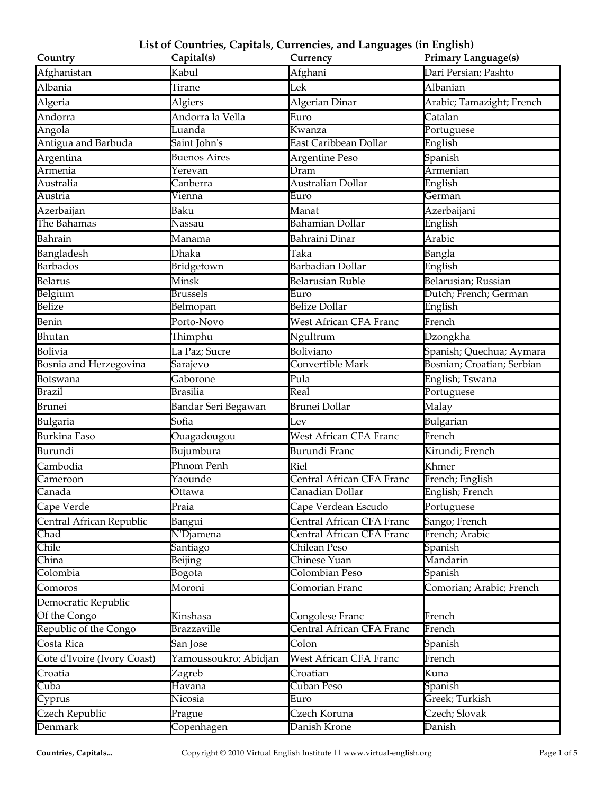| Country                     | Capital(s)            | Currency                      | <b>Primary Language(s)</b> |
|-----------------------------|-----------------------|-------------------------------|----------------------------|
| Afghanistan                 | Kabul                 | Afghani                       | Dari Persian; Pashto       |
| Albania                     | Tirane                | Lek                           | Albanian                   |
| Algeria                     | Algiers               | Algerian Dinar                | Arabic; Tamazight; French  |
| Andorra                     | Andorra la Vella      | Euro                          | Catalan                    |
| Angola                      | Luanda                | Kwanza                        | Portuguese                 |
| Antigua and Barbuda         | Saint John's          | East Caribbean Dollar         | English                    |
| Argentina                   | <b>Buenos Aires</b>   | Argentine Peso                | Spanish                    |
| Armenia                     | Yerevan               | Dram                          | Armenian                   |
| Australia                   | Canberra              | Australian Dollar             | English                    |
| Austria                     | Vienna                | Euro                          | German                     |
| Azerbaijan                  | Baku                  | Manat                         | Azerbaijani                |
| The Bahamas                 | Nassau                | <b>Bahamian Dollar</b>        | English                    |
| Bahrain                     | Manama                | <b>Bahraini Dinar</b>         | Arabic                     |
| Bangladesh                  | <b>Dhaka</b>          | Taka                          | Bangla                     |
| <b>Barbados</b>             | Bridgetown            | <b>Barbadian Dollar</b>       | English                    |
| Belarus                     | Minsk                 | <b>Belarusian Ruble</b>       | Belarusian; Russian        |
| Belgium                     | <b>Brussels</b>       | Euro                          | Dutch; French; German      |
| Belize                      | Belmopan              | <b>Belize Dollar</b>          | English                    |
| Benin                       | Porto-Novo            | West African CFA Franc        | French                     |
| Bhutan                      | Thimphu               | Ngultrum                      | Dzongkha                   |
| Bolivia                     | La Paz; Sucre         | Boliviano                     | Spanish; Quechua; Aymara   |
| Bosnia and Herzegovina      | Sarajevo              | Convertible Mark              | Bosnian; Croatian; Serbian |
| Botswana                    | Gaborone              | Pula                          | English; Tswana            |
| <b>Brazil</b>               | <b>Brasilia</b>       | Real                          | Portuguese                 |
| <b>Brunei</b>               | Bandar Seri Begawan   | <b>Brunei Dollar</b>          | Malay                      |
| Bulgaria                    | Sofia                 | Lev                           | Bulgarian                  |
| Burkina Faso                | Ouagadougou           | <b>West African CFA Franc</b> | French                     |
| Burundi                     | Bujumbura             | Burundi Franc                 | Kirundi; French            |
| Cambodia                    | Phnom Penh            | Riel                          | Khmer                      |
| Cameroon                    | Yaounde               | Central African CFA Franc     | French; English            |
| Canada                      | Ottawa                | Canadian Dollar               | English; French            |
| Cape Verde                  | Praia                 | Cape Verdean Escudo           | Portuguese                 |
| Central African Republic    | Bangui                | Central African CFA Franc     | Sango; French              |
| Chad                        | N'Djamena             | Central African CFA Franc     | French; Arabic             |
| Chile                       | Santiago              | Chilean Peso                  | Spanish                    |
| China                       | Beijing               | Chinese Yuan                  | Mandarin                   |
| Colombia                    | Bogota                | Colombian Peso                | Spanish                    |
| Comoros                     | Moroni                | Comorian Franc                | Comorian; Arabic; French   |
| Democratic Republic         |                       |                               |                            |
| Of the Congo                | Kinshasa              | Congolese Franc               | French                     |
| Republic of the Congo       | <b>Brazzaville</b>    | Central African CFA Franc     | French                     |
| Costa Rica                  | San Jose              | Colon                         | Spanish                    |
| Cote d'Ivoire (Ivory Coast) | Yamoussoukro; Abidjan | West African CFA Franc        | French                     |
| Croatia                     | Zagreb                | Croatian                      | Kuna                       |
| Cuba                        | Havana                | Cuban Peso                    | Spanish                    |
| Cyprus                      | Nicosia               | Euro                          | Greek; Turkish             |
| Czech Republic              | Prague                | Czech Koruna                  | Czech; Slovak              |
| Denmark                     | Copenhagen            | Danish Krone                  | Danish                     |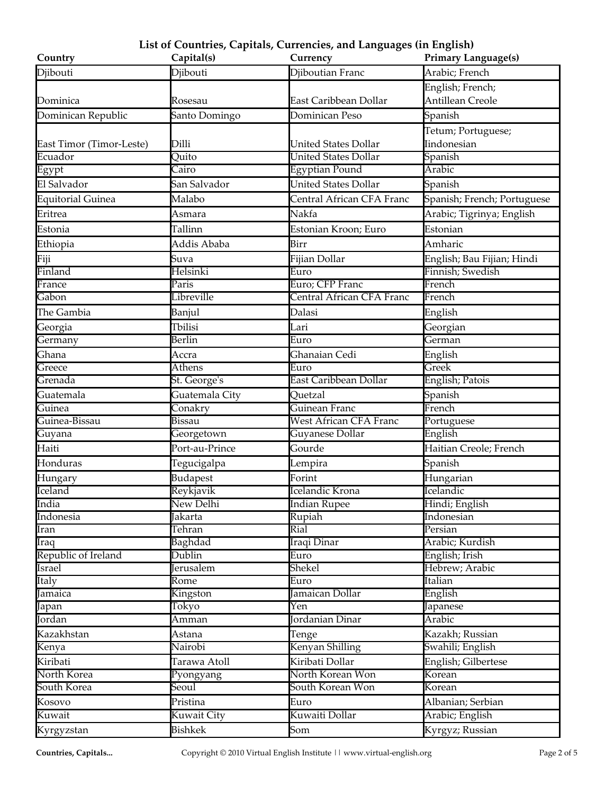| Country                  | Capital(s)                   | Currency                                          | <b>Primary Language(s)</b>  |
|--------------------------|------------------------------|---------------------------------------------------|-----------------------------|
| Djibouti                 | Djibouti                     | Djiboutian Franc                                  | Arabic; French              |
|                          |                              |                                                   | English; French;            |
| Dominica                 | Rosesau                      | East Caribbean Dollar                             | Antillean Creole            |
| Dominican Republic       | Santo Domingo                | Dominican Peso                                    | Spanish                     |
|                          |                              |                                                   | Tetum; Portuguese;          |
| East Timor (Timor-Leste) | Dilli                        | <b>United States Dollar</b>                       | Iindonesian                 |
| Ecuador                  | Quito                        | United States Dollar                              | Spanish                     |
| Egypt                    | Cairo                        | <b>Egyptian Pound</b>                             | Arabic                      |
| El Salvador              | San Salvador                 | <b>United States Dollar</b>                       | Spanish                     |
| Equitorial Guinea        | Malabo                       | Central African CFA Franc                         | Spanish; French; Portuguese |
| Eritrea                  | Asmara                       | Nakfa                                             | Arabic; Tigrinya; English   |
| Estonia                  | Tallinn                      | Estonian Kroon; Euro                              | Estonian                    |
| Ethiopia                 | Addis Ababa                  | Birr                                              | Amharic                     |
| Fiji                     | Suva                         | Fijian Dollar                                     | English; Bau Fijian; Hindi  |
| Finland                  | Helsinki                     | Euro                                              | Finnish; Swedish            |
| France                   | Paris                        | Euro; CFP Franc                                   | French                      |
| Gabon                    | Libreville                   | Central African CFA Franc                         | French                      |
| The Gambia               | Banjul                       | Dalasi                                            | English                     |
| Georgia                  | Tbilisi                      | Lari                                              | Georgian                    |
| Germany                  | Berlin                       | Euro                                              | $\overline{\text{G}}$ erman |
| Ghana                    | Accra                        | Ghanaian Cedi                                     | English                     |
| Greece                   | <b>Athens</b>                | Euro                                              | Greek                       |
| Grenada                  | St. George's                 | East Caribbean Dollar                             | English; Patois             |
| Guatemala                | Guatemala City               | Quetzal                                           | Spanish                     |
| Guinea                   | Conakry                      | Guinean Franc                                     | French                      |
| Guinea-Bissau            | Bissau                       | <b>West African CFA Franc</b>                     | Portuguese                  |
| Guyana                   | Georgetown                   | Guyanese Dollar                                   | English                     |
| Haiti                    | Port-au-Prince               | Gourde                                            | Haitian Creole; French      |
| Honduras                 | Tegucigalpa                  | Lempira                                           | Spanish                     |
| Hungary                  | <b>Budapest</b>              | Forint                                            | Hungarian                   |
| Iceland                  | Reykjavik                    | Icelandic Krona                                   | Icelandic                   |
| India                    | New Delhi                    | Indian Rupee                                      | Hindi; English              |
| Indonesia                | Jakarta                      | Rupiah                                            | <b>Indonesian</b>           |
| Iran                     | Tehran                       | Rial                                              | Persian                     |
| Iraq                     | <b>Baghdad</b>               | Iraqi Dinar                                       | Arabic; Kurdish             |
| Republic of Ireland      | Dublin                       | Euro                                              | English; Irish              |
| Israel                   | <b>Jerusalem</b>             | Shekel                                            | Hebrew; Arabic              |
| Italy                    | Rome                         | Euro                                              | Italian                     |
| Jamaica                  | Kingston                     | Jamaican Dollar                                   | English                     |
| Japan<br>Jordan          | Tokyo                        | $\overline{\text{Yen}}$<br><b>Jordanian Dinar</b> | Japanese<br>Arabic          |
|                          | Amman                        |                                                   |                             |
| Kazakhstan               | Astana                       | Tenge                                             | Kazakh; Russian             |
| Kenya                    | Nairobi                      | Kenyan Shilling                                   | Swahili; English            |
| Kiribati                 | Tarawa Atoll                 | Kiribati Dollar                                   | English; Gilbertese         |
| North Korea              | Pyongyang                    | North Korean Won                                  | Korean                      |
| South Korea              | $\widetilde{\mathrm{Seoul}}$ | South Korean Won                                  | Korean                      |
| Kosovo                   | Pristina                     | Euro                                              | Albanian; Serbian           |
| Kuwait                   | Kuwait City                  | Kuwaiti Dollar                                    | Arabic; English             |
| Kyrgyzstan               | Bishkek                      | Som                                               | Kyrgyz; Russian             |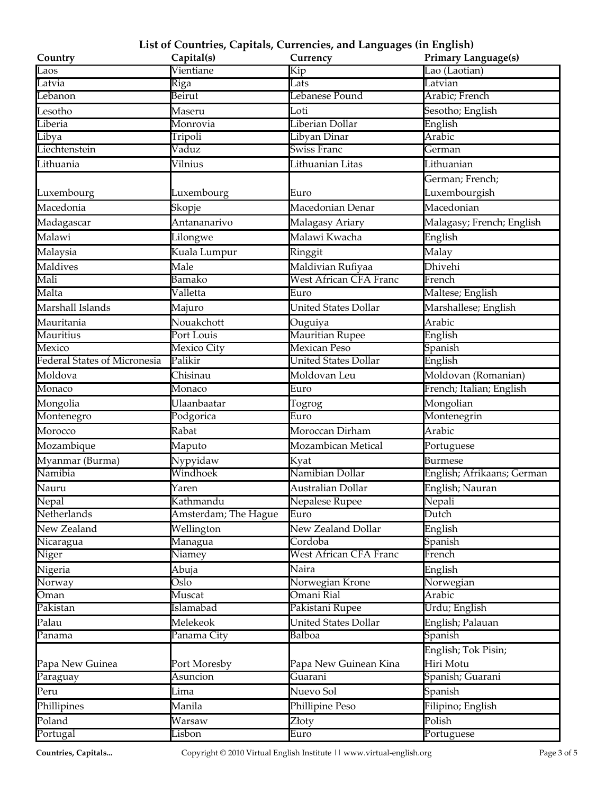| Country                      | Capital(s)                 | Currency                      | <b>Primary Language(s)</b> |
|------------------------------|----------------------------|-------------------------------|----------------------------|
| Laos                         | Vientiane                  | Kip                           | Lao (Laotian)              |
| Latvia                       | Riga                       | Lats                          | Latvian                    |
| Lebanon                      | Beirut                     | Lebanese Pound                | Arabic; French             |
| Lesotho                      | Maseru                     | Loti                          | Sesotho; English           |
| Liberia                      | Monrovia                   | Liberian Dollar               | English                    |
| Libya                        | Tripoli                    | Libyan Dinar                  | Arabic                     |
| Liechtenstein                | Vaduz                      | <b>Swiss Franc</b>            | German                     |
| Lithuania                    | Vilnius                    | Lithuanian Litas              | Lithuanian                 |
|                              |                            |                               | German; French;            |
| Luxembourg                   | Luxembourg                 | Euro                          | Luxembourgish              |
| Macedonia                    | Skopje                     | Macedonian Denar              | Macedonian                 |
| Madagascar                   | Antananarivo               | Malagasy Ariary               | Malagasy; French; English  |
| Malawi                       | Lilongwe                   | Malawi Kwacha                 | English                    |
| Malaysia                     | Kuala Lumpur               | Ringgit                       | Malay                      |
| Maldives                     | Male                       | Maldivian Rufiyaa             | Dhivehi                    |
| Mali                         | Bamako                     | <b>West African CFA Franc</b> | French                     |
| Malta                        | Valletta                   | Euro                          | Maltese; English           |
| Marshall Islands             | Majuro                     | <b>United States Dollar</b>   | Marshallese; English       |
| Mauritania                   | Nouakchott                 | Ouguiya                       | Arabic                     |
| <b>Mauritius</b>             | Port Louis                 | <b>Mauritian Rupee</b>        | English                    |
| Mexico                       | <b>Mexico City</b>         | <b>Mexican Peso</b>           | Spanish                    |
| Federal States of Micronesia | Palikir                    | <b>United States Dollar</b>   | English                    |
| Moldova                      | Chisinau                   | Moldovan Leu                  | Moldovan (Romanian)        |
| Monaco                       | Monaco                     | Euro                          | French; Italian; English   |
| Mongolia                     | Ulaanbaatar                | Togrog                        | Mongolian                  |
| Montenegro                   | Podgorica                  | Euro                          | Montenegrin                |
| Morocco                      | Rabat                      | Moroccan Dirham               | Arabic                     |
| Mozambique                   | Maputo                     | Mozambican Metical            | Portuguese                 |
| Myanmar (Burma)              | Nypyidaw                   | Kyat                          | Burmese                    |
| Namibia                      | Windhoek                   | Namibian Dollar               | English; Afrikaans; German |
| Nauru                        | Yaren                      | Australian Dollar             | English; Nauran            |
| Nepal                        | Kathmandu                  | Nepalese Rupee                | Nepali                     |
| Netherlands                  | Amsterdam; The Hague       | Euro                          | Dutch                      |
| New Zealand                  | Wellington                 | New Zealand Dollar            | English                    |
| Nicaragua                    | Managua                    | Cordoba                       | Spanish                    |
| Niger                        | Niamey                     | <b>West African CFA Franc</b> | French                     |
| Nigeria                      | Abuja                      | Naira                         | English                    |
| Norway                       | $\overline{\mathrm{Oslo}}$ | Norwegian Krone               | Norwegian                  |
| Oman                         | Muscat                     | Omani Rial                    | Arabic                     |
| Pakistan                     | <b>Islamabad</b>           | Pakistani Rupee               | Urdu; English              |
| Palau                        | Melekeok                   | <b>United States Dollar</b>   | English; Palauan           |
| Panama                       | Panama City                | Balboa                        | Spanish                    |
|                              |                            |                               | English; Tok Pisin;        |
| Papa New Guinea              | Port Moresby               | Papa New Guinean Kina         | Hiri Motu                  |
| Paraguay                     | Asuncion                   | Guarani                       | Spanish; Guarani           |
| Peru                         | Lima                       | Nuevo Sol                     | Spanish                    |
| Phillipines                  | Manila                     | Phillipine Peso               | Filipino; English          |
| Poland                       | Warsaw                     | Złoty                         | Polish                     |
| Portugal                     | Lisbon                     | $\overline{\text{Euro}}$      | Portuguese                 |
|                              |                            |                               |                            |

**Countries, Capitals...** Copyright © 2010 Virtual English Institute || www.virtual-english.org Page 3 of 5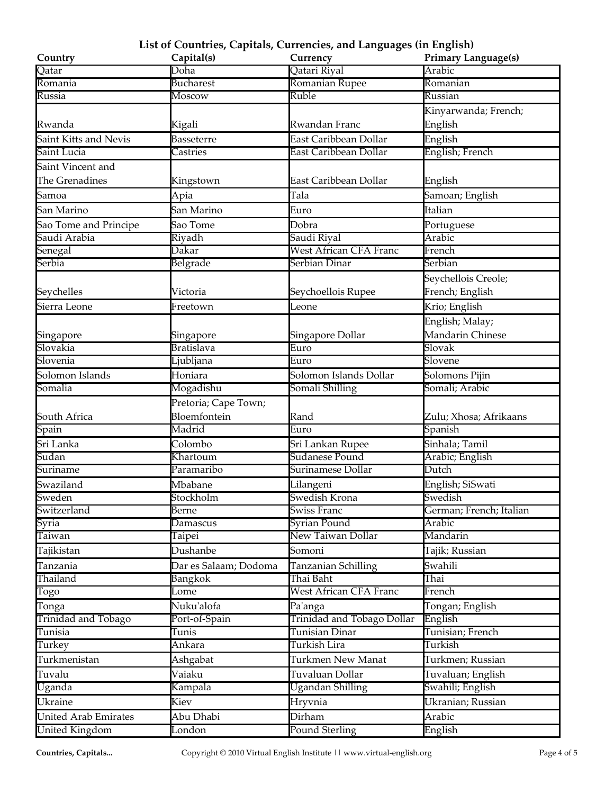| Doha<br>Arabic<br>Romanian Rupee<br><b>Bucharest</b><br>Romania<br>Romanian<br>Russia<br>Ruble<br>Moscow<br>Russian<br>Kinyarwanda; French;<br>Rwandan Franc<br>English<br>Rwanda<br>Kigali<br>Saint Kitts and Nevis<br><b>Basseterre</b><br>East Caribbean Dollar<br>English<br>English; French<br>East Caribbean Dollar<br>Saint Lucia<br>Castries<br>Saint Vincent and<br>The Grenadines<br>East Caribbean Dollar<br>Kingstown<br>English<br>Tala<br>Apia<br>Samoan; English<br>Samoa<br>Italian<br>San Marino<br>San Marino<br>Euro<br>Sao Tome and Principe<br>Sao Tome<br>Dobra<br>Portuguese<br>Saudi Arabia<br>Riyadh<br>Saudi Riyal<br>Arabic<br>West African CFA Franc<br>Dakar<br>Senegal<br>French<br>Belgrade<br>Serbia<br>Serbian Dinar<br>Serbian<br>Seychellois Creole;<br>French; English<br>Seychelles<br>Seychoellois Rupee<br>Victoria<br>Krio; English<br>Sierra Leone<br>Leone<br>Freetown<br>English; Malay;<br>Mandarin Chinese<br>Singapore Dollar<br>Singapore<br>Singapore<br>Slovakia<br>Slovak<br><b>Bratislava</b><br>Euro<br>Slovenia<br>Euro<br>Slovene<br>Ljubljana<br>Solomon Islands<br>Honiara<br>Solomon Islands Dollar<br>Solomons Pijin<br>Somali; Arabic<br>Somalia<br>Mogadishu<br>Somali Shilling<br>Pretoria; Cape Town;<br>Bloemfontein<br>South Africa<br>Rand<br>Zulu; Xhosa; Afrikaans<br>Spanish<br>Madrid<br>Euro<br>Spain<br>Sri Lanka<br>Sinhala; Tamil<br>Colombo<br>Sri Lankan Rupee<br><b>Sudanese Pound</b><br>Sudan<br>Khartoum<br>Arabic; English<br>Paramaribo<br>Surinamese Dollar<br>Dutch<br>Suriname<br>Mbabane<br>Swaziland<br>Lilangeni<br>English; SiSwati<br>Sweden<br>Swedish Krona<br>Swedish<br>Stockholm<br>German; French; Italian<br>Switzerland<br><b>Swiss Franc</b><br>Berne<br>Syria<br><b>Syrian Pound</b><br>Arabic<br>Damascus<br>New Taiwan Dollar<br>Taiwan<br>Mandarin<br>Taipei<br>Dushanbe<br>Somoni<br>Tajikistan<br>Tajik; Russian<br>Dar es Salaam; Dodoma<br>Tanzanian Schilling<br>Swahili<br>Tanzania<br>Thailand<br>Thai Baht<br>Bangkok<br>Thai<br>West African CFA Franc<br>French<br>Togo<br>Lome<br>Nuku'alofa<br>Tongan; English<br>Pa'anga<br>Tonga<br>Trinidad and Tobago Dollar<br>Trinidad and Tobago<br>English<br>Port-of-Spain<br>Tunisia<br>Tunisian; French<br><b>Tunisian Dinar</b><br>Tunis<br>Turkish Lira<br>Turkish<br>Ankara<br>Turkey<br>Turkmenistan<br>Turkmen New Manat<br>Ashgabat<br>Turkmen; Russian<br>Vaiaku<br>Tuvaluan Dollar<br>Tuvalu<br>Tuvaluan; English<br>Kampala<br><b>Ugandan Shilling</b><br>Swahili; English<br>Uganda<br>Ukranian; Russian<br>Ukraine<br>Kiev<br>Hryvnia<br>Abu Dhabi<br>Dirham<br><b>United Arab Emirates</b><br>Arabic<br><b>Pound Sterling</b><br>United Kingdom<br>London<br>English | Country | Capital(s) | ---- ---- - - - - - - -<br>Currency | <b>Primary Language(s)</b> |
|-----------------------------------------------------------------------------------------------------------------------------------------------------------------------------------------------------------------------------------------------------------------------------------------------------------------------------------------------------------------------------------------------------------------------------------------------------------------------------------------------------------------------------------------------------------------------------------------------------------------------------------------------------------------------------------------------------------------------------------------------------------------------------------------------------------------------------------------------------------------------------------------------------------------------------------------------------------------------------------------------------------------------------------------------------------------------------------------------------------------------------------------------------------------------------------------------------------------------------------------------------------------------------------------------------------------------------------------------------------------------------------------------------------------------------------------------------------------------------------------------------------------------------------------------------------------------------------------------------------------------------------------------------------------------------------------------------------------------------------------------------------------------------------------------------------------------------------------------------------------------------------------------------------------------------------------------------------------------------------------------------------------------------------------------------------------------------------------------------------------------------------------------------------------------------------------------------------------------------------------------------------------------------------------------------------------------------------------------------------------------------------------------------------------------------------------------------------------------------------------------------------------------------------------------------------------------------------------------------------------------------------------------------------------------------------------------------------------------------------------------|---------|------------|-------------------------------------|----------------------------|
|                                                                                                                                                                                                                                                                                                                                                                                                                                                                                                                                                                                                                                                                                                                                                                                                                                                                                                                                                                                                                                                                                                                                                                                                                                                                                                                                                                                                                                                                                                                                                                                                                                                                                                                                                                                                                                                                                                                                                                                                                                                                                                                                                                                                                                                                                                                                                                                                                                                                                                                                                                                                                                                                                                                                               | Qatar   |            | Qatari Riyal                        |                            |
|                                                                                                                                                                                                                                                                                                                                                                                                                                                                                                                                                                                                                                                                                                                                                                                                                                                                                                                                                                                                                                                                                                                                                                                                                                                                                                                                                                                                                                                                                                                                                                                                                                                                                                                                                                                                                                                                                                                                                                                                                                                                                                                                                                                                                                                                                                                                                                                                                                                                                                                                                                                                                                                                                                                                               |         |            |                                     |                            |
|                                                                                                                                                                                                                                                                                                                                                                                                                                                                                                                                                                                                                                                                                                                                                                                                                                                                                                                                                                                                                                                                                                                                                                                                                                                                                                                                                                                                                                                                                                                                                                                                                                                                                                                                                                                                                                                                                                                                                                                                                                                                                                                                                                                                                                                                                                                                                                                                                                                                                                                                                                                                                                                                                                                                               |         |            |                                     |                            |
|                                                                                                                                                                                                                                                                                                                                                                                                                                                                                                                                                                                                                                                                                                                                                                                                                                                                                                                                                                                                                                                                                                                                                                                                                                                                                                                                                                                                                                                                                                                                                                                                                                                                                                                                                                                                                                                                                                                                                                                                                                                                                                                                                                                                                                                                                                                                                                                                                                                                                                                                                                                                                                                                                                                                               |         |            |                                     |                            |
|                                                                                                                                                                                                                                                                                                                                                                                                                                                                                                                                                                                                                                                                                                                                                                                                                                                                                                                                                                                                                                                                                                                                                                                                                                                                                                                                                                                                                                                                                                                                                                                                                                                                                                                                                                                                                                                                                                                                                                                                                                                                                                                                                                                                                                                                                                                                                                                                                                                                                                                                                                                                                                                                                                                                               |         |            |                                     |                            |
|                                                                                                                                                                                                                                                                                                                                                                                                                                                                                                                                                                                                                                                                                                                                                                                                                                                                                                                                                                                                                                                                                                                                                                                                                                                                                                                                                                                                                                                                                                                                                                                                                                                                                                                                                                                                                                                                                                                                                                                                                                                                                                                                                                                                                                                                                                                                                                                                                                                                                                                                                                                                                                                                                                                                               |         |            |                                     |                            |
|                                                                                                                                                                                                                                                                                                                                                                                                                                                                                                                                                                                                                                                                                                                                                                                                                                                                                                                                                                                                                                                                                                                                                                                                                                                                                                                                                                                                                                                                                                                                                                                                                                                                                                                                                                                                                                                                                                                                                                                                                                                                                                                                                                                                                                                                                                                                                                                                                                                                                                                                                                                                                                                                                                                                               |         |            |                                     |                            |
|                                                                                                                                                                                                                                                                                                                                                                                                                                                                                                                                                                                                                                                                                                                                                                                                                                                                                                                                                                                                                                                                                                                                                                                                                                                                                                                                                                                                                                                                                                                                                                                                                                                                                                                                                                                                                                                                                                                                                                                                                                                                                                                                                                                                                                                                                                                                                                                                                                                                                                                                                                                                                                                                                                                                               |         |            |                                     |                            |
|                                                                                                                                                                                                                                                                                                                                                                                                                                                                                                                                                                                                                                                                                                                                                                                                                                                                                                                                                                                                                                                                                                                                                                                                                                                                                                                                                                                                                                                                                                                                                                                                                                                                                                                                                                                                                                                                                                                                                                                                                                                                                                                                                                                                                                                                                                                                                                                                                                                                                                                                                                                                                                                                                                                                               |         |            |                                     |                            |
|                                                                                                                                                                                                                                                                                                                                                                                                                                                                                                                                                                                                                                                                                                                                                                                                                                                                                                                                                                                                                                                                                                                                                                                                                                                                                                                                                                                                                                                                                                                                                                                                                                                                                                                                                                                                                                                                                                                                                                                                                                                                                                                                                                                                                                                                                                                                                                                                                                                                                                                                                                                                                                                                                                                                               |         |            |                                     |                            |
|                                                                                                                                                                                                                                                                                                                                                                                                                                                                                                                                                                                                                                                                                                                                                                                                                                                                                                                                                                                                                                                                                                                                                                                                                                                                                                                                                                                                                                                                                                                                                                                                                                                                                                                                                                                                                                                                                                                                                                                                                                                                                                                                                                                                                                                                                                                                                                                                                                                                                                                                                                                                                                                                                                                                               |         |            |                                     |                            |
|                                                                                                                                                                                                                                                                                                                                                                                                                                                                                                                                                                                                                                                                                                                                                                                                                                                                                                                                                                                                                                                                                                                                                                                                                                                                                                                                                                                                                                                                                                                                                                                                                                                                                                                                                                                                                                                                                                                                                                                                                                                                                                                                                                                                                                                                                                                                                                                                                                                                                                                                                                                                                                                                                                                                               |         |            |                                     |                            |
|                                                                                                                                                                                                                                                                                                                                                                                                                                                                                                                                                                                                                                                                                                                                                                                                                                                                                                                                                                                                                                                                                                                                                                                                                                                                                                                                                                                                                                                                                                                                                                                                                                                                                                                                                                                                                                                                                                                                                                                                                                                                                                                                                                                                                                                                                                                                                                                                                                                                                                                                                                                                                                                                                                                                               |         |            |                                     |                            |
|                                                                                                                                                                                                                                                                                                                                                                                                                                                                                                                                                                                                                                                                                                                                                                                                                                                                                                                                                                                                                                                                                                                                                                                                                                                                                                                                                                                                                                                                                                                                                                                                                                                                                                                                                                                                                                                                                                                                                                                                                                                                                                                                                                                                                                                                                                                                                                                                                                                                                                                                                                                                                                                                                                                                               |         |            |                                     |                            |
|                                                                                                                                                                                                                                                                                                                                                                                                                                                                                                                                                                                                                                                                                                                                                                                                                                                                                                                                                                                                                                                                                                                                                                                                                                                                                                                                                                                                                                                                                                                                                                                                                                                                                                                                                                                                                                                                                                                                                                                                                                                                                                                                                                                                                                                                                                                                                                                                                                                                                                                                                                                                                                                                                                                                               |         |            |                                     |                            |
|                                                                                                                                                                                                                                                                                                                                                                                                                                                                                                                                                                                                                                                                                                                                                                                                                                                                                                                                                                                                                                                                                                                                                                                                                                                                                                                                                                                                                                                                                                                                                                                                                                                                                                                                                                                                                                                                                                                                                                                                                                                                                                                                                                                                                                                                                                                                                                                                                                                                                                                                                                                                                                                                                                                                               |         |            |                                     |                            |
|                                                                                                                                                                                                                                                                                                                                                                                                                                                                                                                                                                                                                                                                                                                                                                                                                                                                                                                                                                                                                                                                                                                                                                                                                                                                                                                                                                                                                                                                                                                                                                                                                                                                                                                                                                                                                                                                                                                                                                                                                                                                                                                                                                                                                                                                                                                                                                                                                                                                                                                                                                                                                                                                                                                                               |         |            |                                     |                            |
|                                                                                                                                                                                                                                                                                                                                                                                                                                                                                                                                                                                                                                                                                                                                                                                                                                                                                                                                                                                                                                                                                                                                                                                                                                                                                                                                                                                                                                                                                                                                                                                                                                                                                                                                                                                                                                                                                                                                                                                                                                                                                                                                                                                                                                                                                                                                                                                                                                                                                                                                                                                                                                                                                                                                               |         |            |                                     |                            |
|                                                                                                                                                                                                                                                                                                                                                                                                                                                                                                                                                                                                                                                                                                                                                                                                                                                                                                                                                                                                                                                                                                                                                                                                                                                                                                                                                                                                                                                                                                                                                                                                                                                                                                                                                                                                                                                                                                                                                                                                                                                                                                                                                                                                                                                                                                                                                                                                                                                                                                                                                                                                                                                                                                                                               |         |            |                                     |                            |
|                                                                                                                                                                                                                                                                                                                                                                                                                                                                                                                                                                                                                                                                                                                                                                                                                                                                                                                                                                                                                                                                                                                                                                                                                                                                                                                                                                                                                                                                                                                                                                                                                                                                                                                                                                                                                                                                                                                                                                                                                                                                                                                                                                                                                                                                                                                                                                                                                                                                                                                                                                                                                                                                                                                                               |         |            |                                     |                            |
|                                                                                                                                                                                                                                                                                                                                                                                                                                                                                                                                                                                                                                                                                                                                                                                                                                                                                                                                                                                                                                                                                                                                                                                                                                                                                                                                                                                                                                                                                                                                                                                                                                                                                                                                                                                                                                                                                                                                                                                                                                                                                                                                                                                                                                                                                                                                                                                                                                                                                                                                                                                                                                                                                                                                               |         |            |                                     |                            |
|                                                                                                                                                                                                                                                                                                                                                                                                                                                                                                                                                                                                                                                                                                                                                                                                                                                                                                                                                                                                                                                                                                                                                                                                                                                                                                                                                                                                                                                                                                                                                                                                                                                                                                                                                                                                                                                                                                                                                                                                                                                                                                                                                                                                                                                                                                                                                                                                                                                                                                                                                                                                                                                                                                                                               |         |            |                                     |                            |
|                                                                                                                                                                                                                                                                                                                                                                                                                                                                                                                                                                                                                                                                                                                                                                                                                                                                                                                                                                                                                                                                                                                                                                                                                                                                                                                                                                                                                                                                                                                                                                                                                                                                                                                                                                                                                                                                                                                                                                                                                                                                                                                                                                                                                                                                                                                                                                                                                                                                                                                                                                                                                                                                                                                                               |         |            |                                     |                            |
|                                                                                                                                                                                                                                                                                                                                                                                                                                                                                                                                                                                                                                                                                                                                                                                                                                                                                                                                                                                                                                                                                                                                                                                                                                                                                                                                                                                                                                                                                                                                                                                                                                                                                                                                                                                                                                                                                                                                                                                                                                                                                                                                                                                                                                                                                                                                                                                                                                                                                                                                                                                                                                                                                                                                               |         |            |                                     |                            |
|                                                                                                                                                                                                                                                                                                                                                                                                                                                                                                                                                                                                                                                                                                                                                                                                                                                                                                                                                                                                                                                                                                                                                                                                                                                                                                                                                                                                                                                                                                                                                                                                                                                                                                                                                                                                                                                                                                                                                                                                                                                                                                                                                                                                                                                                                                                                                                                                                                                                                                                                                                                                                                                                                                                                               |         |            |                                     |                            |
|                                                                                                                                                                                                                                                                                                                                                                                                                                                                                                                                                                                                                                                                                                                                                                                                                                                                                                                                                                                                                                                                                                                                                                                                                                                                                                                                                                                                                                                                                                                                                                                                                                                                                                                                                                                                                                                                                                                                                                                                                                                                                                                                                                                                                                                                                                                                                                                                                                                                                                                                                                                                                                                                                                                                               |         |            |                                     |                            |
|                                                                                                                                                                                                                                                                                                                                                                                                                                                                                                                                                                                                                                                                                                                                                                                                                                                                                                                                                                                                                                                                                                                                                                                                                                                                                                                                                                                                                                                                                                                                                                                                                                                                                                                                                                                                                                                                                                                                                                                                                                                                                                                                                                                                                                                                                                                                                                                                                                                                                                                                                                                                                                                                                                                                               |         |            |                                     |                            |
|                                                                                                                                                                                                                                                                                                                                                                                                                                                                                                                                                                                                                                                                                                                                                                                                                                                                                                                                                                                                                                                                                                                                                                                                                                                                                                                                                                                                                                                                                                                                                                                                                                                                                                                                                                                                                                                                                                                                                                                                                                                                                                                                                                                                                                                                                                                                                                                                                                                                                                                                                                                                                                                                                                                                               |         |            |                                     |                            |
|                                                                                                                                                                                                                                                                                                                                                                                                                                                                                                                                                                                                                                                                                                                                                                                                                                                                                                                                                                                                                                                                                                                                                                                                                                                                                                                                                                                                                                                                                                                                                                                                                                                                                                                                                                                                                                                                                                                                                                                                                                                                                                                                                                                                                                                                                                                                                                                                                                                                                                                                                                                                                                                                                                                                               |         |            |                                     |                            |
|                                                                                                                                                                                                                                                                                                                                                                                                                                                                                                                                                                                                                                                                                                                                                                                                                                                                                                                                                                                                                                                                                                                                                                                                                                                                                                                                                                                                                                                                                                                                                                                                                                                                                                                                                                                                                                                                                                                                                                                                                                                                                                                                                                                                                                                                                                                                                                                                                                                                                                                                                                                                                                                                                                                                               |         |            |                                     |                            |
|                                                                                                                                                                                                                                                                                                                                                                                                                                                                                                                                                                                                                                                                                                                                                                                                                                                                                                                                                                                                                                                                                                                                                                                                                                                                                                                                                                                                                                                                                                                                                                                                                                                                                                                                                                                                                                                                                                                                                                                                                                                                                                                                                                                                                                                                                                                                                                                                                                                                                                                                                                                                                                                                                                                                               |         |            |                                     |                            |
|                                                                                                                                                                                                                                                                                                                                                                                                                                                                                                                                                                                                                                                                                                                                                                                                                                                                                                                                                                                                                                                                                                                                                                                                                                                                                                                                                                                                                                                                                                                                                                                                                                                                                                                                                                                                                                                                                                                                                                                                                                                                                                                                                                                                                                                                                                                                                                                                                                                                                                                                                                                                                                                                                                                                               |         |            |                                     |                            |
|                                                                                                                                                                                                                                                                                                                                                                                                                                                                                                                                                                                                                                                                                                                                                                                                                                                                                                                                                                                                                                                                                                                                                                                                                                                                                                                                                                                                                                                                                                                                                                                                                                                                                                                                                                                                                                                                                                                                                                                                                                                                                                                                                                                                                                                                                                                                                                                                                                                                                                                                                                                                                                                                                                                                               |         |            |                                     |                            |
|                                                                                                                                                                                                                                                                                                                                                                                                                                                                                                                                                                                                                                                                                                                                                                                                                                                                                                                                                                                                                                                                                                                                                                                                                                                                                                                                                                                                                                                                                                                                                                                                                                                                                                                                                                                                                                                                                                                                                                                                                                                                                                                                                                                                                                                                                                                                                                                                                                                                                                                                                                                                                                                                                                                                               |         |            |                                     |                            |
|                                                                                                                                                                                                                                                                                                                                                                                                                                                                                                                                                                                                                                                                                                                                                                                                                                                                                                                                                                                                                                                                                                                                                                                                                                                                                                                                                                                                                                                                                                                                                                                                                                                                                                                                                                                                                                                                                                                                                                                                                                                                                                                                                                                                                                                                                                                                                                                                                                                                                                                                                                                                                                                                                                                                               |         |            |                                     |                            |
|                                                                                                                                                                                                                                                                                                                                                                                                                                                                                                                                                                                                                                                                                                                                                                                                                                                                                                                                                                                                                                                                                                                                                                                                                                                                                                                                                                                                                                                                                                                                                                                                                                                                                                                                                                                                                                                                                                                                                                                                                                                                                                                                                                                                                                                                                                                                                                                                                                                                                                                                                                                                                                                                                                                                               |         |            |                                     |                            |
|                                                                                                                                                                                                                                                                                                                                                                                                                                                                                                                                                                                                                                                                                                                                                                                                                                                                                                                                                                                                                                                                                                                                                                                                                                                                                                                                                                                                                                                                                                                                                                                                                                                                                                                                                                                                                                                                                                                                                                                                                                                                                                                                                                                                                                                                                                                                                                                                                                                                                                                                                                                                                                                                                                                                               |         |            |                                     |                            |
|                                                                                                                                                                                                                                                                                                                                                                                                                                                                                                                                                                                                                                                                                                                                                                                                                                                                                                                                                                                                                                                                                                                                                                                                                                                                                                                                                                                                                                                                                                                                                                                                                                                                                                                                                                                                                                                                                                                                                                                                                                                                                                                                                                                                                                                                                                                                                                                                                                                                                                                                                                                                                                                                                                                                               |         |            |                                     |                            |
|                                                                                                                                                                                                                                                                                                                                                                                                                                                                                                                                                                                                                                                                                                                                                                                                                                                                                                                                                                                                                                                                                                                                                                                                                                                                                                                                                                                                                                                                                                                                                                                                                                                                                                                                                                                                                                                                                                                                                                                                                                                                                                                                                                                                                                                                                                                                                                                                                                                                                                                                                                                                                                                                                                                                               |         |            |                                     |                            |
|                                                                                                                                                                                                                                                                                                                                                                                                                                                                                                                                                                                                                                                                                                                                                                                                                                                                                                                                                                                                                                                                                                                                                                                                                                                                                                                                                                                                                                                                                                                                                                                                                                                                                                                                                                                                                                                                                                                                                                                                                                                                                                                                                                                                                                                                                                                                                                                                                                                                                                                                                                                                                                                                                                                                               |         |            |                                     |                            |
|                                                                                                                                                                                                                                                                                                                                                                                                                                                                                                                                                                                                                                                                                                                                                                                                                                                                                                                                                                                                                                                                                                                                                                                                                                                                                                                                                                                                                                                                                                                                                                                                                                                                                                                                                                                                                                                                                                                                                                                                                                                                                                                                                                                                                                                                                                                                                                                                                                                                                                                                                                                                                                                                                                                                               |         |            |                                     |                            |
|                                                                                                                                                                                                                                                                                                                                                                                                                                                                                                                                                                                                                                                                                                                                                                                                                                                                                                                                                                                                                                                                                                                                                                                                                                                                                                                                                                                                                                                                                                                                                                                                                                                                                                                                                                                                                                                                                                                                                                                                                                                                                                                                                                                                                                                                                                                                                                                                                                                                                                                                                                                                                                                                                                                                               |         |            |                                     |                            |
|                                                                                                                                                                                                                                                                                                                                                                                                                                                                                                                                                                                                                                                                                                                                                                                                                                                                                                                                                                                                                                                                                                                                                                                                                                                                                                                                                                                                                                                                                                                                                                                                                                                                                                                                                                                                                                                                                                                                                                                                                                                                                                                                                                                                                                                                                                                                                                                                                                                                                                                                                                                                                                                                                                                                               |         |            |                                     |                            |
|                                                                                                                                                                                                                                                                                                                                                                                                                                                                                                                                                                                                                                                                                                                                                                                                                                                                                                                                                                                                                                                                                                                                                                                                                                                                                                                                                                                                                                                                                                                                                                                                                                                                                                                                                                                                                                                                                                                                                                                                                                                                                                                                                                                                                                                                                                                                                                                                                                                                                                                                                                                                                                                                                                                                               |         |            |                                     |                            |
|                                                                                                                                                                                                                                                                                                                                                                                                                                                                                                                                                                                                                                                                                                                                                                                                                                                                                                                                                                                                                                                                                                                                                                                                                                                                                                                                                                                                                                                                                                                                                                                                                                                                                                                                                                                                                                                                                                                                                                                                                                                                                                                                                                                                                                                                                                                                                                                                                                                                                                                                                                                                                                                                                                                                               |         |            |                                     |                            |
|                                                                                                                                                                                                                                                                                                                                                                                                                                                                                                                                                                                                                                                                                                                                                                                                                                                                                                                                                                                                                                                                                                                                                                                                                                                                                                                                                                                                                                                                                                                                                                                                                                                                                                                                                                                                                                                                                                                                                                                                                                                                                                                                                                                                                                                                                                                                                                                                                                                                                                                                                                                                                                                                                                                                               |         |            |                                     |                            |
|                                                                                                                                                                                                                                                                                                                                                                                                                                                                                                                                                                                                                                                                                                                                                                                                                                                                                                                                                                                                                                                                                                                                                                                                                                                                                                                                                                                                                                                                                                                                                                                                                                                                                                                                                                                                                                                                                                                                                                                                                                                                                                                                                                                                                                                                                                                                                                                                                                                                                                                                                                                                                                                                                                                                               |         |            |                                     |                            |
|                                                                                                                                                                                                                                                                                                                                                                                                                                                                                                                                                                                                                                                                                                                                                                                                                                                                                                                                                                                                                                                                                                                                                                                                                                                                                                                                                                                                                                                                                                                                                                                                                                                                                                                                                                                                                                                                                                                                                                                                                                                                                                                                                                                                                                                                                                                                                                                                                                                                                                                                                                                                                                                                                                                                               |         |            |                                     |                            |
|                                                                                                                                                                                                                                                                                                                                                                                                                                                                                                                                                                                                                                                                                                                                                                                                                                                                                                                                                                                                                                                                                                                                                                                                                                                                                                                                                                                                                                                                                                                                                                                                                                                                                                                                                                                                                                                                                                                                                                                                                                                                                                                                                                                                                                                                                                                                                                                                                                                                                                                                                                                                                                                                                                                                               |         |            |                                     |                            |
|                                                                                                                                                                                                                                                                                                                                                                                                                                                                                                                                                                                                                                                                                                                                                                                                                                                                                                                                                                                                                                                                                                                                                                                                                                                                                                                                                                                                                                                                                                                                                                                                                                                                                                                                                                                                                                                                                                                                                                                                                                                                                                                                                                                                                                                                                                                                                                                                                                                                                                                                                                                                                                                                                                                                               |         |            |                                     |                            |